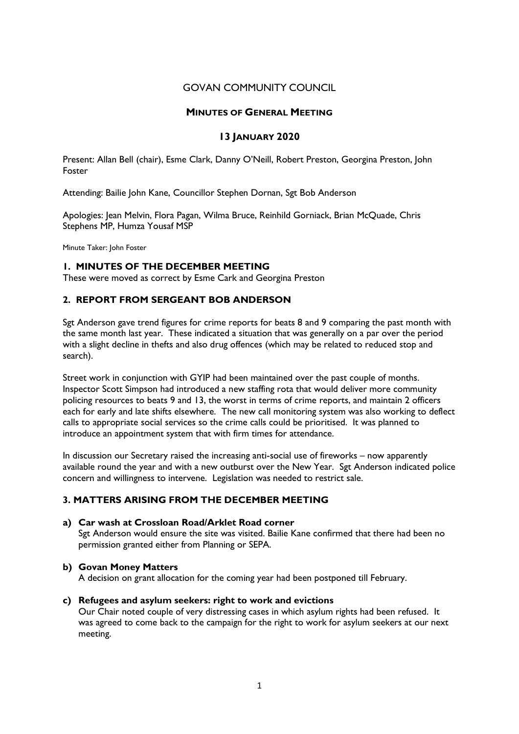# GOVAN COMMUNITY COUNCIL

#### MINUTES OF GENERAL MEETING

### 13 JANUARY 2020

Present: Allan Bell (chair), Esme Clark, Danny O'Neill, Robert Preston, Georgina Preston, John Foster

Attending: Bailie John Kane, Councillor Stephen Dornan, Sgt Bob Anderson

Apologies: Jean Melvin, Flora Pagan, Wilma Bruce, Reinhild Gorniack, Brian McQuade, Chris Stephens MP, Humza Yousaf MSP

Minute Taker: John Foster

### 1. MINUTES OF THE DECEMBER MEETING

These were moved as correct by Esme Cark and Georgina Preston

# 2. REPORT FROM SERGEANT BOB ANDERSON

Sgt Anderson gave trend figures for crime reports for beats 8 and 9 comparing the past month with the same month last year. These indicated a situation that was generally on a par over the period with a slight decline in thefts and also drug offences (which may be related to reduced stop and search).

Street work in conjunction with GYIP had been maintained over the past couple of months. Inspector Scott Simpson had introduced a new staffing rota that would deliver more community policing resources to beats 9 and 13, the worst in terms of crime reports, and maintain 2 officers each for early and late shifts elsewhere. The new call monitoring system was also working to deflect calls to appropriate social services so the crime calls could be prioritised. It was planned to introduce an appointment system that with firm times for attendance.

In discussion our Secretary raised the increasing anti-social use of fireworks – now apparently available round the year and with a new outburst over the New Year. Sgt Anderson indicated police concern and willingness to intervene. Legislation was needed to restrict sale.

# 3. MATTERS ARISING FROM THE DECEMBER MEETING

#### a) Car wash at Crossloan Road/Arklet Road corner

Sgt Anderson would ensure the site was visited. Bailie Kane confirmed that there had been no permission granted either from Planning or SEPA.

#### b) Govan Money Matters

A decision on grant allocation for the coming year had been postponed till February.

#### c) Refugees and asylum seekers: right to work and evictions

Our Chair noted couple of very distressing cases in which asylum rights had been refused. It was agreed to come back to the campaign for the right to work for asylum seekers at our next meeting.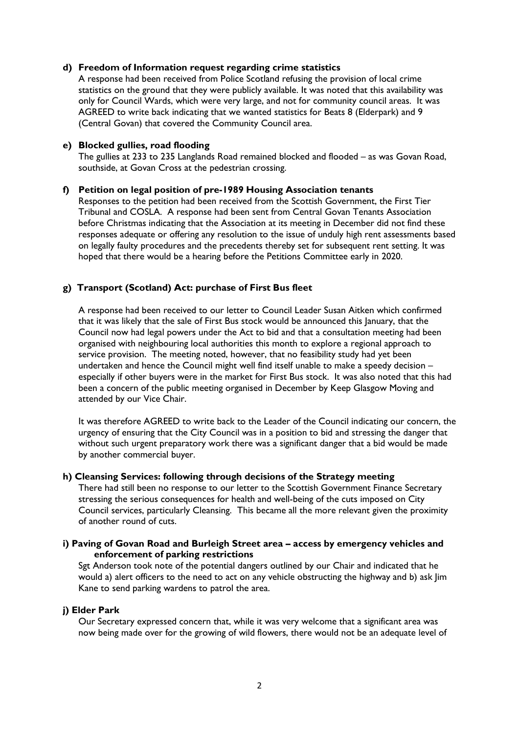### d) Freedom of Information request regarding crime statistics

A response had been received from Police Scotland refusing the provision of local crime statistics on the ground that they were publicly available. It was noted that this availability was only for Council Wards, which were very large, and not for community council areas. It was AGREED to write back indicating that we wanted statistics for Beats 8 (Elderpark) and 9 (Central Govan) that covered the Community Council area.

### e) Blocked gullies, road flooding

The gullies at 233 to 235 Langlands Road remained blocked and flooded – as was Govan Road, southside, at Govan Cross at the pedestrian crossing.

### f) Petition on legal position of pre-1989 Housing Association tenants

Responses to the petition had been received from the Scottish Government, the First Tier Tribunal and COSLA. A response had been sent from Central Govan Tenants Association before Christmas indicating that the Association at its meeting in December did not find these responses adequate or offering any resolution to the issue of unduly high rent assessments based on legally faulty procedures and the precedents thereby set for subsequent rent setting. It was hoped that there would be a hearing before the Petitions Committee early in 2020.

# g) Transport (Scotland) Act: purchase of First Bus fleet

A response had been received to our letter to Council Leader Susan Aitken which confirmed that it was likely that the sale of First Bus stock would be announced this January, that the Council now had legal powers under the Act to bid and that a consultation meeting had been organised with neighbouring local authorities this month to explore a regional approach to service provision. The meeting noted, however, that no feasibility study had yet been undertaken and hence the Council might well find itself unable to make a speedy decision – especially if other buyers were in the market for First Bus stock. It was also noted that this had been a concern of the public meeting organised in December by Keep Glasgow Moving and attended by our Vice Chair.

It was therefore AGREED to write back to the Leader of the Council indicating our concern, the urgency of ensuring that the City Council was in a position to bid and stressing the danger that without such urgent preparatory work there was a significant danger that a bid would be made by another commercial buyer.

#### h) Cleansing Services: following through decisions of the Strategy meeting

There had still been no response to our letter to the Scottish Government Finance Secretary stressing the serious consequences for health and well-being of the cuts imposed on City Council services, particularly Cleansing. This became all the more relevant given the proximity of another round of cuts.

#### i) Paving of Govan Road and Burleigh Street area – access by emergency vehicles and enforcement of parking restrictions

Sgt Anderson took note of the potential dangers outlined by our Chair and indicated that he would a) alert officers to the need to act on any vehicle obstructing the highway and b) ask Jim Kane to send parking wardens to patrol the area.

#### j) Elder Park

Our Secretary expressed concern that, while it was very welcome that a significant area was now being made over for the growing of wild flowers, there would not be an adequate level of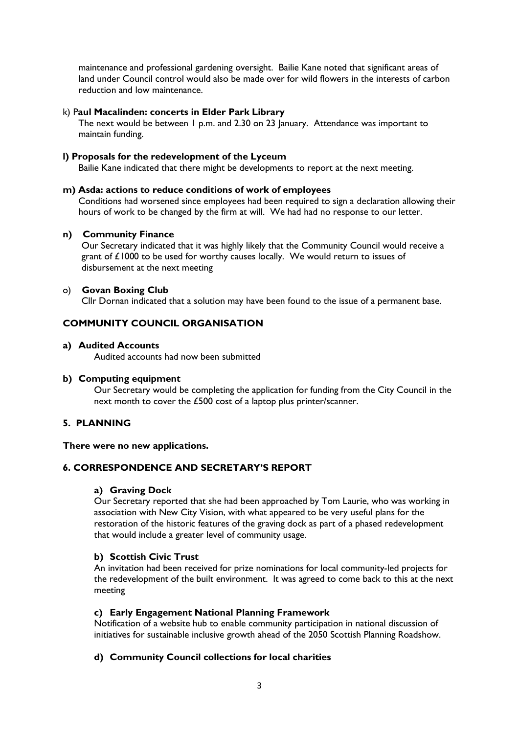maintenance and professional gardening oversight. Bailie Kane noted that significant areas of land under Council control would also be made over for wild flowers in the interests of carbon reduction and low maintenance.

### k) Paul Macalinden: concerts in Elder Park Library

The next would be between 1 p.m. and 2.30 on 23 January. Attendance was important to maintain funding.

### l) Proposals for the redevelopment of the Lyceum

Bailie Kane indicated that there might be developments to report at the next meeting.

#### m) Asda: actions to reduce conditions of work of employees

Conditions had worsened since employees had been required to sign a declaration allowing their hours of work to be changed by the firm at will. We had had no response to our letter.

#### n) Community Finance

Our Secretary indicated that it was highly likely that the Community Council would receive a grant of £1000 to be used for worthy causes locally. We would return to issues of disbursement at the next meeting

### o) Govan Boxing Club

Cllr Dornan indicated that a solution may have been found to the issue of a permanent base.

# COMMUNITY COUNCIL ORGANISATION

#### a) Audited Accounts

Audited accounts had now been submitted

#### b) Computing equipment

Our Secretary would be completing the application for funding from the City Council in the next month to cover the £500 cost of a laptop plus printer/scanner.

# 5. PLANNING

#### There were no new applications.

# 6. CORRESPONDENCE AND SECRETARY'S REPORT

#### a) Graving Dock

Our Secretary reported that she had been approached by Tom Laurie, who was working in association with New City Vision, with what appeared to be very useful plans for the restoration of the historic features of the graving dock as part of a phased redevelopment that would include a greater level of community usage.

# b) Scottish Civic Trust

An invitation had been received for prize nominations for local community-led projects for the redevelopment of the built environment. It was agreed to come back to this at the next meeting

#### c) Early Engagement National Planning Framework

Notification of a website hub to enable community participation in national discussion of initiatives for sustainable inclusive growth ahead of the 2050 Scottish Planning Roadshow.

# d) Community Council collections for local charities